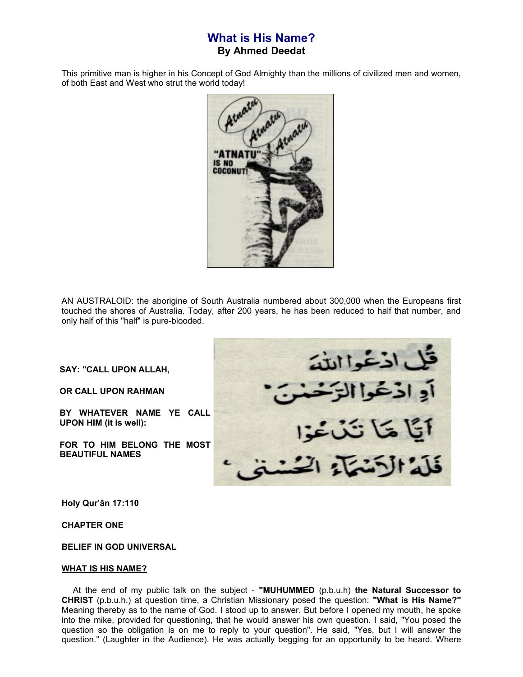# **What is His Name? By Ahmed Deedat**

This primitive man is higher in his Concept of God Almighty than the millions of civilized men and women, of both East and West who strut the world today!



AN AUSTRALOID: the aborigine of South Australia numbered about 300,000 when the Europeans first touched the shores of Australia. Today, after 200 years, he has been reduced to half that number, and only half of this "half" is pure-blooded.

**SAY: "CALL UPON ALLAH,**

**OR CALL UPON RAHMAN**

**BY WHATEVER NAME YE CALL UPON HIM (it is well):**

**FOR TO HIM BELONG THE MOST BEAUTIFUL NAMES**

قل اذغوا اللهَ أو اذعُوا الرَّخْمَر<br>أيًّا هَا نَنْ عُوْا فَلَهُ الْآمَنْعَآءُ آلَتُ

**Holy Qur'ân 17:110**

**CHAPTER ONE**

**BELIEF IN GOD UNIVERSAL**

#### **WHAT IS HIS NAME?**

At the end of my public talk on the subject - **"MUHUMMED** (p.b.u.h) **the Natural Successor to CHRIST** (p.b.u.h.) at question time, a Christian Missionary posed the question: **"What is His Name?"** Meaning thereby as to the name of God. I stood up to answer. But before I opened my mouth, he spoke into the mike, provided for questioning, that he would answer his own question. I said, "You posed the question so the obligation is on me to reply to your question". He said, "Yes, but I will answer the question." (Laughter in the Audience). He was actually begging for an opportunity to be heard. Where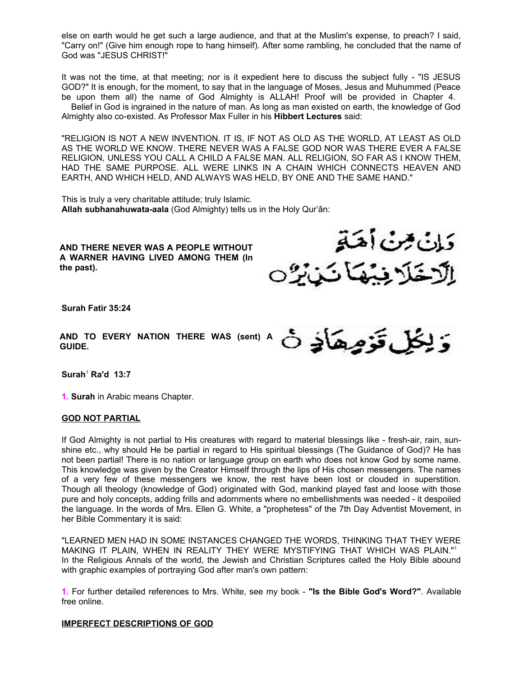else on earth would he get such a large audience, and that at the Muslim's expense, to preach? I said, "Carry on!" (Give him enough rope to hang himself). After some rambling, he concluded that the name of God was "JESUS CHRIST!"

It was not the time, at that meeting; nor is it expedient here to discuss the subject fully - "IS JESUS GOD?" It is enough, for the moment, to say that in the language of Moses, Jesus and Muhummed (Peace be upon them all) the name of God Almighty is ALLAH! Proof will be provided in Chapter 4.

Belief in God is ingrained in the nature of man. As long as man existed on earth, the knowledge of God Almighty also co-existed. As Professor Max Fuller in his **Hibbert Lectures** said:

"RELIGION IS NOT A NEW INVENTION. IT IS, IF NOT AS OLD AS THE WORLD, AT LEAST AS OLD AS THE WORLD WE KNOW. THERE NEVER WAS A FALSE GOD NOR WAS THERE EVER A FALSE RELIGION, UNLESS YOU CALL A CHILD A FALSE MAN. ALL RELIGION, SO FAR AS I KNOW THEM, HAD THE SAME PURPOSE. ALL WERE LINKS IN A CHAIN WHICH CONNECTS HEAVEN AND EARTH, AND WHICH HELD, AND ALWAYS WAS HELD, BY ONE AND THE SAME HAND."

This is truly a very charitable attitude; truly Islamic. **Allah subhanahuwata-aala** (God Almighty) tells us in the Holy Qur'ân:

**AND THERE NEVER WAS A PEOPLE WITHOUT A WARNER HAVING LIVED AMONG THEM (In the past).**

دَانَ فِرْنَ أَهَبَةَ الأدينة الافتقا

وَيْكُلْ تَوْمِهَأَوْ نَ

**Surah Fatir 35:24**

**AND TO EVERY NATION THERE WAS (sent) A GUIDE.**

**Surah<sup>1</sup> Ra'd 13:7**

**1. Surah** in Arabic means Chapter.

## **GOD NOT PARTIAL**

If God Almighty is not partial to His creatures with regard to material blessings like - fresh-air, rain, sunshine etc., why should He be partial in regard to His spiritual blessings (The Guidance of God)? He has not been partial! There is no nation or language group on earth who does not know God by some name. This knowledge was given by the Creator Himself through the lips of His chosen messengers. The names of a very few of these messengers we know, the rest have been lost or clouded in superstition. Though all theology (knowledge of God) originated with God, mankind played fast and loose with those pure and holy concepts, adding frills and adornments where no embellishments was needed - it despoiled the language. In the words of Mrs. Ellen G. White, a "prophetess" of the 7th Day Adventist Movement, in her Bible Commentary it is said:

"LEARNED MEN HAD IN SOME INSTANCES CHANGED THE WORDS, THINKING THAT THEY WERE MAKING IT PLAIN, WHEN IN REALITY THEY WERE MYSTIFYING THAT WHICH WAS PLAIN." **1** In the Religious Annals of the world, the Jewish and Christian Scriptures called the Holy Bible abound with graphic examples of portraying God after man's own pattern:

**1.** For further detailed references to Mrs. White, see my book - **"Is the Bible God's Word?"**. Available free online.

## **IMPERFECT DESCRIPTIONS OF GOD**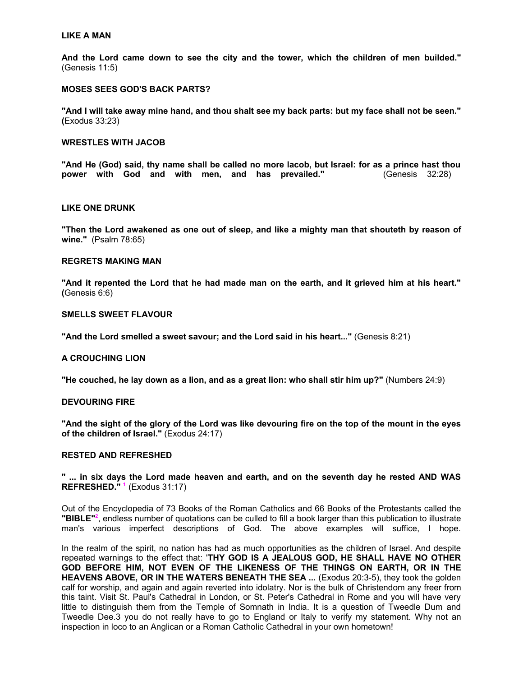#### **LIKE A MAN**

**And the Lord came down to see the city and the tower, which the children of men builded."** (Genesis 11:5)

## **MOSES SEES GOD'S BACK PARTS?**

**"And I will take away mine hand, and thou shalt see my back parts: but my face shall not be seen." (**Exodus 33:23)

#### **WRESTLES WITH JACOB**

"And He (God) said, thy name shall be called no more lacob, but Israel: for as a prince hast thou **power with God and with men, and has prevailed."** (Genesis 32:28)

#### **LIKE ONE DRUNK**

"Then the Lord awakened as one out of sleep, and like a mighty man that shouteth by reason of **wine."** (Psalm 78:65)

#### **REGRETS MAKING MAN**

"And it repented the Lord that he had made man on the earth, and it grieved him at his heart." **(**Genesis 6:6)

## **SMELLS SWEET FLAVOUR**

**"And the Lord smelled a sweet savour; and the Lord said in his heart..."** (Genesis 8:21)

#### **A CROUCHING LION**

**"He couched, he lay down as a lion, and as a great lion: who shall stir him up?"** (Numbers 24:9)

#### **DEVOURING FIRE**

"And the sight of the glory of the Lord was like devouring fire on the top of the mount in the eyes **of the children of Israel."** (Exodus 24:17)

#### **RESTED AND REFRESHED**

#### " ... in six days the Lord made heaven and earth, and on the seventh day he rested AND WAS **REFRESHED." <sup>1</sup>**(Exodus 31:17)

Out of the Encyclopedia of 73 Books of the Roman Catholics and 66 Books of the Protestants called the **"BIBLE"<sup>2</sup>** , endless number of quotations can be culled to fill a book larger than this publication to illustrate man's various imperfect descriptions of God. The above examples will suffice, I hope.

In the realm of the spirit, no nation has had as much opportunities as the children of Israel. And despite repeated warnings to the effect that: '**THY GOD IS A JEALOUS GOD, HE SHALL HAVE NO OTHER GOD BEFORE HIM, NOT EVEN OF THE LIKENESS OF THE THINGS ON EARTH, OR IN THE HEAVENS ABOVE, OR IN THE WATERS BENEATH THE SEA ...** (Exodus 20:3-5), they took the golden calf for worship, and again and again reverted into idolatry. Nor is the bulk of Christendom any freer from this taint. Visit St. Paul's Cathedral in London, or St. Peter's Cathedral in Rome and you will have very little to distinguish them from the Temple of Somnath in India. It is a question of Tweedle Dum and Tweedle Dee.3 you do not really have to go to England or Italy to verify my statement. Why not an inspection in loco to an Anglican or a Roman Catholic Cathedral in your own hometown!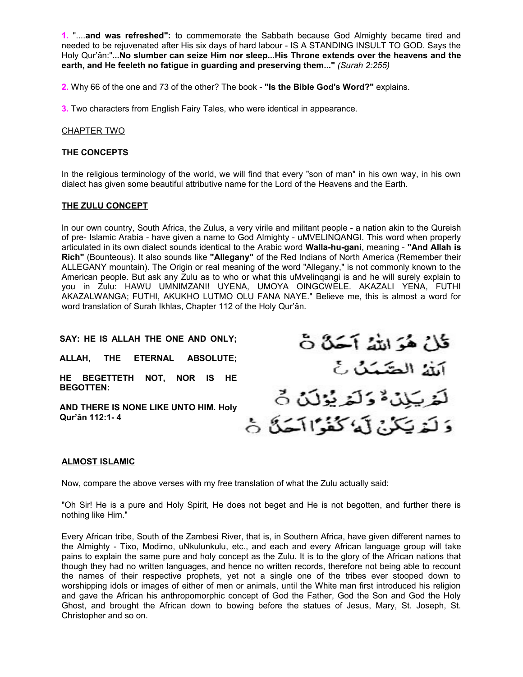**1.** "....**and was refreshed":** to commemorate the Sabbath because God Almighty became tired and needed to be rejuvenated after His six days of hard labour - IS A STANDING INSULT TO GOD. Says the Holy Qur'ân:"**...No slumber can seize Him nor sleep...His Throne extends over the heavens and the earth, and He feeleth no fatigue in guarding and preserving them..."** *(Surah 2:255)*

**2.** Why 66 of the one and 73 of the other? The book - **"Is the Bible God's Word?"** explains.

**3.** Two characters from English Fairy Tales, who were identical in appearance.

## CHAPTER TWO

## **THE CONCEPTS**

In the religious terminology of the world, we will find that every "son of man" in his own way, in his own dialect has given some beautiful attributive name for the Lord of the Heavens and the Earth.

## **THE ZULU CONCEPT**

In our own country, South Africa, the Zulus, a very virile and militant people - a nation akin to the Qureish of pre- Islamic Arabia - have given a name to God Almighty - uMVELINQANGI. This word when properly articulated in its own dialect sounds identical to the Arabic word **Walla-hu-gani**, meaning - **"And Allah is Rich"** (Bounteous). It also sounds like **"Allegany"** of the Red Indians of North America (Remember their ALLEGANY mountain). The Origin or real meaning of the word "Allegany," is not commonly known to the American people. But ask any Zulu as to who or what this uMvelinqangi is and he will surely explain to you in Zulu: HAWU UMNIMZANI! UYENA, UMOYA OINGCWELE. AKAZALI YENA, FUTHI AKAZALWANGA; FUTHI, AKUKHO LUTMO OLU FANA NAYE." Believe me, this is almost a word for word translation of Surah Ikhlas, Chapter 112 of the Holy Qur'ân.

**SAY: HE IS ALLAH THE ONE AND ONLY;**

**ALLAH, THE ETERNAL ABSOLUTE;**

**HE BEGETTETH NOT, NOR IS HE BEGOTTEN:**

**AND THERE IS NONE LIKE UNTO HIM. Holy Qur'ân 112:1- 4**

قُلْ هُوَ اللهُ أَحَلَّ نَّ اَللهُ الصَّمَٰكُ ِ الله المستعملات<br>لَغْرِيَكِكْ لَا تَحْرُ يُوْلَكُ أَنَّ دَ لَغِ نَيْكُنْ لَهُ كُفُوًّا أَحَدٌّ ۞

## **ALMOST ISLAMIC**

Now, compare the above verses with my free translation of what the Zulu actually said:

"Oh Sir! He is a pure and Holy Spirit, He does not beget and He is not begotten, and further there is nothing like Him."

Every African tribe, South of the Zambesi River, that is, in Southern Africa, have given different names to the Almighty - Tixo, Modimo, uNkulunkulu, etc., and each and every African language group will take pains to explain the same pure and holy concept as the Zulu. It is to the glory of the African nations that though they had no written languages, and hence no written records, therefore not being able to recount the names of their respective prophets, yet not a single one of the tribes ever stooped down to worshipping idols or images of either of men or animals, until the White man first introduced his religion and gave the African his anthropomorphic concept of God the Father, God the Son and God the Holy Ghost, and brought the African down to bowing before the statues of Jesus, Mary, St. Joseph, St. Christopher and so on.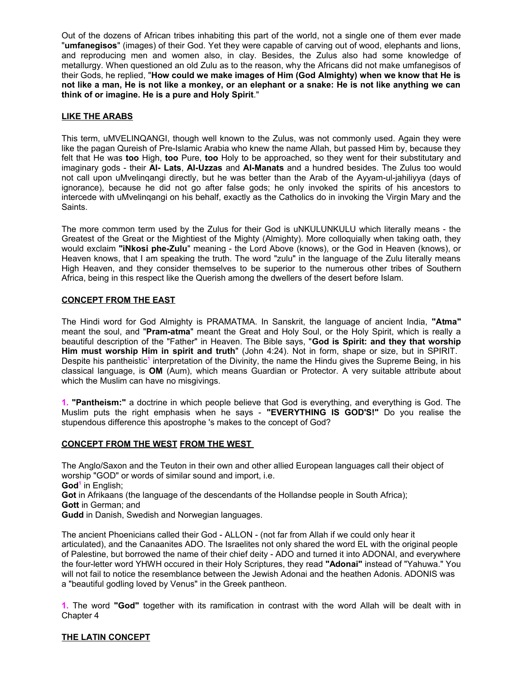Out of the dozens of African tribes inhabiting this part of the world, not a single one of them ever made "**umfanegisos**" (images) of their God. Yet they were capable of carving out of wood, elephants and lions, and reproducing men and women also, in clay. Besides, the Zulus also had some knowledge of metallurgy. When questioned an old Zulu as to the reason, why the Africans did not make umfanegisos of their Gods, he replied, "**How could we make images of Him (God Almighty) when we know that He is** not like a man, He is not like a monkey, or an elephant or a snake: He is not like anything we can **think of or imagine. He is a pure and Holy Spirit**."

# **LIKE THE ARABS**

This term, uMVELINQANGI, though well known to the Zulus, was not commonly used. Again they were like the pagan Qureish of Pre-Islamic Arabia who knew the name Allah, but passed Him by, because they felt that He was **too** High, **too** Pure, **too** Holy to be approached, so they went for their substitutary and imaginary gods - their **Al- Lats**, **AI-Uzzas** and **Al-Manats** and a hundred besides. The Zulus too would not call upon uMvelinqangi directly, but he was better than the Arab of the Ayyam-ul-jahiliyya (days of ignorance), because he did not go after false gods; he only invoked the spirits of his ancestors to intercede with uMvelinqangi on his behalf, exactly as the Catholics do in invoking the Virgin Mary and the Saints.

The more common term used by the Zulus for their God is uNKULUNKULU which literally means - the Greatest of the Great or the Mightiest of the Mighty (Almighty). More colloquially when taking oath, they would exclaim **"iNkosi phe-Zulu**" meaning - the Lord Above (knows), or the God in Heaven (knows), or Heaven knows, that I am speaking the truth. The word "zulu" in the language of the Zulu literally means High Heaven, and they consider themselves to be superior to the numerous other tribes of Southern Africa, being in this respect like the Querish among the dwellers of the desert before Islam.

## **CONCEPT FROM THE EAST**

The Hindi word for God Almighty is PRAMATMA. In Sanskrit, the language of ancient India, **"Atma"** meant the soul, and "**Pram-atma**" meant the Great and Holy Soul, or the Holy Spirit, which is really a beautiful description of the "Father" in Heaven. The Bible says, "**God is Spirit: and they that worship Him must worship Him in spirit and truth**" (John 4:24). Not in form, shape or size, but in SPIRIT. Despite his pantheistic<sup>1</sup> interpretation of the Divinity, the name the Hindu gives the Supreme Being, in his classical language, is **OM** (Aum), which means Guardian or Protector. A very suitable attribute about which the Muslim can have no misgivings.

**1. "Pantheism:"** a doctrine in which people believe that God is everything, and everything is God. The Muslim puts the right emphasis when he says - **"EVERYTHING IS GOD'S!"** Do you realise the stupendous difference this apostrophe 's makes to the concept of God?

## **CONCEPT FROM THE WEST FROM THE WEST**

The Anglo/Saxon and the Teuton in their own and other allied European languages call their object of worship "GOD" or words of similar sound and import, i.e.

**God<sup>1</sup>** in English;

**Got** in Afrikaans (the language of the descendants of the Hollandse people in South Africa);

**Gott** in German; and

**Gudd** in Danish, Swedish and Norwegian languages.

The ancient Phoenicians called their God - ALLON - (not far from Allah if we could only hear it articulated), and the Canaanites ADO. The Israelites not only shared the word EL with the original people of Palestine, but borrowed the name of their chief deity - ADO and turned it into ADONAI, and everywhere the four-letter word YHWH occured in their Holy Scriptures, they read **"Adonai"** instead of "Yahuwa." You will not fail to notice the resemblance between the Jewish Adonai and the heathen Adonis. ADONIS was a "beautiful godling loved by Venus" in the Greek pantheon.

**1.** The word **"God"** together with its ramification in contrast with the word Allah will be dealt with in Chapter 4

## **THE LATIN CONCEPT**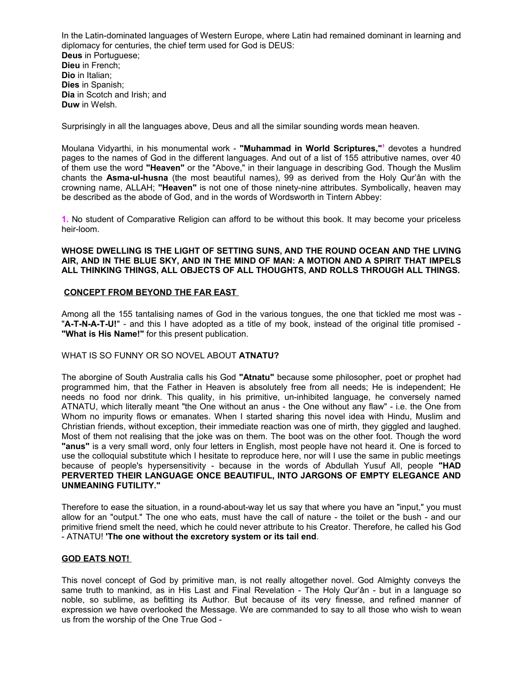In the Latin-dominated languages of Western Europe, where Latin had remained dominant in learning and diplomacy for centuries, the chief term used for God is DEUS: **Deus** in Portuguese; **Dieu** in French; **Dio** in Italian; **Dies** in Spanish; **Dia** in Scotch and Irish; and **Duw** in Welsh.

Surprisingly in all the languages above, Deus and all the similar sounding words mean heaven.

Moulana Vidyarthi, in his monumental work - **"Muhammad in World Scriptures,"<sup>1</sup>** devotes a hundred pages to the names of God in the different languages. And out of a list of 155 attributive names, over 40 of them use the word **"Heaven"** or the "Above," in their language in describing God. Though the Muslim chants the **Asma-ul-husna** (the most beautiful names), 99 as derived from the Holy Qur'ân with the crowning name, ALLAH; **"Heaven"** is not one of those ninety-nine attributes. Symbolically, heaven may be described as the abode of God, and in the words of Wordsworth in Tintern Abbey:

**1.** No student of Comparative Religion can afford to be without this book. It may become your priceless heir-loom.

**WHOSE DWELLING IS THE LIGHT OF SETTING SUNS, AND THE ROUND OCEAN AND THE LIVING AIR, AND IN THE BLUE SKY, AND IN THE MIND OF MAN: A MOTION AND A SPIRIT THAT IMPELS ALL THINKING THINGS, ALL OBJECTS OF ALL THOUGHTS, AND ROLLS THROUGH ALL THINGS.**

## **CONCEPT FROM BEYOND THE FAR EAST**

Among all the 155 tantalising names of God in the various tongues, the one that tickled me most was - "**A-T-N-A-T-U!**" - and this I have adopted as a title of my book, instead of the original title promised - **"What is His Name!"** for this present publication.

## WHAT IS SO FUNNY OR SO NOVEL ABOUT **ATNATU?**

The aborgine of South Australia calls his God **"Atnatu"** because some philosopher, poet or prophet had programmed him, that the Father in Heaven is absolutely free from all needs; He is independent; He needs no food nor drink. This quality, in his primitive, un-inhibited language, he conversely named ATNATU, which literally meant "the One without an anus - the One without any flaw" - i.e. the One from Whom no impurity flows or emanates. When I started sharing this novel idea with Hindu, Muslim and Christian friends, without exception, their immediate reaction was one of mirth, they giggled and laughed. Most of them not realising that the joke was on them. The boot was on the other foot. Though the word **"anus"** is a very small word, only four letters in English, most people have not heard it. One is forced to use the colloquial substitute which I hesitate to reproduce here, nor will I use the same in public meetings because of people's hypersensitivity - because in the words of Abdullah Yusuf All, people **"HAD PERVERTED THEIR LANGUAGE ONCE BEAUTIFUL, INTO JARGONS OF EMPTY ELEGANCE AND UNMEANING FUTILITY."**

Therefore to ease the situation, in a round-about-way let us say that where you have an "input," you must allow for an "output." The one who eats, must have the call of nature - the toilet or the bush - and our primitive friend smelt the need, which he could never attribute to his Creator. Therefore, he called his God - ATNATU! **'The one without the excretory system or its tail end**.

## **GOD EATS NOT!**

This novel concept of God by primitive man, is not really altogether novel. God Almighty conveys the same truth to mankind, as in His Last and Final Revelation - The Holy Qur'ân - but in a language so noble, so sublime, as befitting its Author. But because of its very finesse, and refined manner of expression we have overlooked the Message. We are commanded to say to all those who wish to wean us from the worship of the One True God -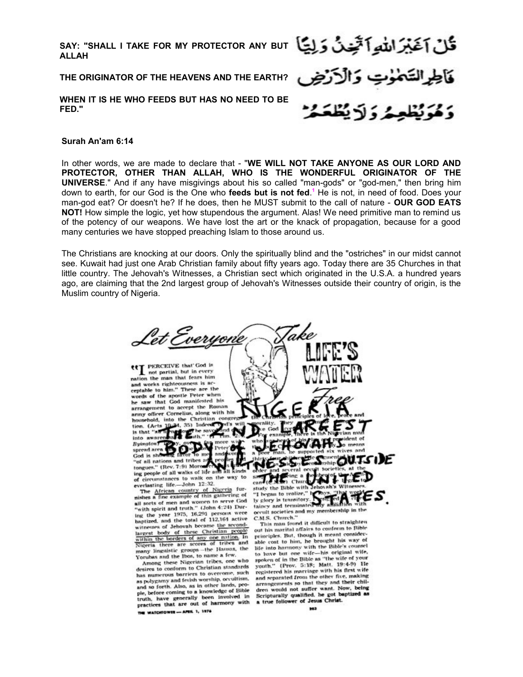**SAY: "SHALL I TAKE FOR MY PROTECTOR ANY BUT ALLAH**

**THE ORIGINATOR OF THE HEAVENS AND THE EARTH?**

**WHEN IT IS HE WHO FEEDS BUT HAS NO NEED TO BE FED."**

#### **Surah An'am 6:14**

In other words, we are made to declare that - "**WE WILL NOT TAKE ANYONE AS OUR LORD AND PROTECTOR, OTHER THAN ALLAH, WHO IS THE WONDERFUL ORIGINATOR OF THE UNIVERSE**." And if any have misgivings about his so called "man-gods" or "god-men," then bring him down to earth, for our God is the One who **feeds but is not fed**. **<sup>1</sup>** He is not, in need of food. Does your man-god eat? Or doesn't he? If he does, then he MUST submit to the call of nature - **OUR GOD EATS NOT!** How simple the logic, yet how stupendous the argument. Alas! We need primitive man to remind us of the potency of our weapons. We have lost the art or the knack of propagation, because for a good many centuries we have stopped preaching Islam to those around us.

The Christians are knocking at our doors. Only the spiritually blind and the "ostriches" in our midst cannot see. Kuwait had just one Arab Christian family about fifty years ago. Today there are 35 Churches in that little country. The Jehovah's Witnesses, a Christian sect which originated in the U.S.A. a hundred years ago, are claiming that the 2nd largest group of Jehovah's Witnesses outside their country of origin, is the Muslim country of Nigeria.



largest body of these Christian people

within the borders of any one nation. In<br>Nigeria there are scores of tribes and

many linguistic groups—the Hausas, the Yorubas and the Ibos, to name a few.

desires to conform to Christian standards has numerous barriers to overcome, such

has numerous barriers to origin overlitism.

and so forth. Also, as in other lands, peo-

ple, before coming to a knowledge of Bible

truth, have generally been involved in

practices that are out of harmony with

THE WATCHTOWER - APRIL 1, 1976

Among these Nigerian tribes, one who

This man found it difficult to straighten out his marital affairs to conform to Bible principles. But, though it meant considerable cost to him, he brought his way of able cost to him, he oroughn his counsel<br>to have but one wife-his original wife,<br>to have but one wife-his original wife, spoken of in the Bible as "the wife of your spoken of in the Block as the wine 19:4-9) He<br>youth." (Prov. 5:18; Matt. 19:4-9) He<br>registered his marriage with his first wife and separated from the other five, making and separated from they and their children would not suffer want. Now, being Scripturally qualified, he got baptized as a true follower of Jesus Christ.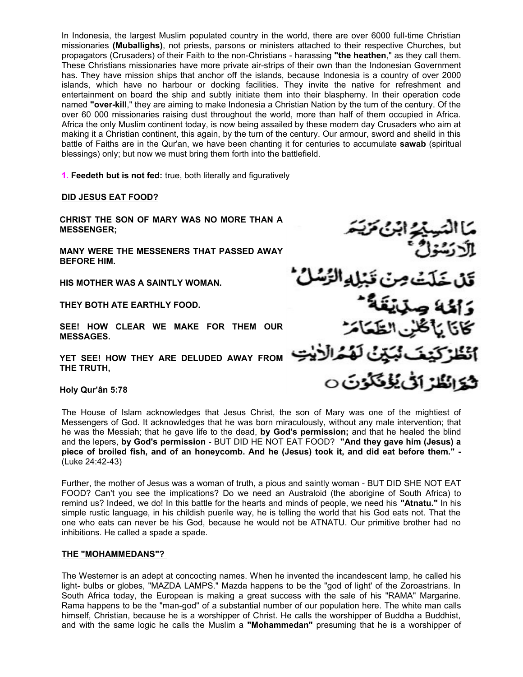In Indonesia, the largest Muslim populated country in the world, there are over 6000 full-time Christian missionaries **(Muballighs)**, not priests, parsons or ministers attached to their respective Churches, but propagators (Crusaders) of their Faith to the non-Christians - harassing **"the heathen**," as they call them. These Christians missionaries have more private air-strips of their own than the Indonesian Government has. They have mission ships that anchor off the islands, because Indonesia is a country of over 2000 islands, which have no harbour or docking facilities. They invite the native for refreshment and entertainment on board the ship and subtly initiate them into their blasphemy. In their operation code named **"over-kill**," they are aiming to make Indonesia a Christian Nation by the turn of the century. Of the over 60 000 missionaries raising dust throughout the world, more than half of them occupied in Africa. Africa the only Muslim continent today, is now being assailed by these modern day Crusaders who aim at making it a Christian continent, this again, by the turn of the century. Our armour, sword and sheild in this battle of Faiths are in the Qur'an, we have been chanting it for centuries to accumulate **sawab** (spiritual blessings) only; but now we must bring them forth into the battlefield.

**1. Feedeth but is not fed:** true, both literally and figuratively

**DID JESUS EAT FOOD?**

**CHRIST THE SON OF MARY WAS NO MORE THAN A MESSENGER;**

**MANY WERE THE MESSENERS THAT PASSED AWAY BEFORE HIM.** 

**HIS MOTHER WAS A SAINTLY WOMAN.**

**THEY BOTH ATE EARTHLY FOOD.** 

**SEE! HOW CLEAR WE MAKE FOR THEM OUR MESSAGES.**

**YET SEE! HOW THEY ARE DELUDED AWAY FROM THE TRUTH,**

**Holy Qur'ân 5:78**

The House of Islam acknowledges that Jesus Christ, the son of Mary was one of the mightiest of Messengers of God. It acknowledges that he was born miraculously, without any male intervention; that he was the Messiah; that he gave life to the dead, **by God's permission;** and that he healed the blind and the lepers, **by God's permission** - BUT DID HE NOT EAT FOOD? **"And they gave him (Jesus) a** piece of broiled fish, and of an honeycomb. And he (Jesus) took it, and did eat before them." -(Luke 24:42-43)

 $\circ$ ંધર્મની

Further, the mother of Jesus was a woman of truth, a pious and saintly woman - BUT DID SHE NOT EAT FOOD? Can't you see the implications? Do we need an Australoid (the aborigine of South Africa) to remind us? Indeed, we do! In this battle for the hearts and minds of people, we need his **"Atnatu."** In his simple rustic language, in his childish puerile way, he is telling the world that his God eats not. That the one who eats can never be his God, because he would not be ATNATU. Our primitive brother had no inhibitions. He called a spade a spade.

## **THE "MOHAMMEDANS"?**

The Westerner is an adept at concocting names. When he invented the incandescent lamp, he called his light- bulbs or globes, "MAZDA LAMPS." Mazda happens to be the "god of light' of the Zoroastrians. In South Africa today, the European is making a great success with the sale of his "RAMA" Margarine. Rama happens to be the "man-god" of a substantial number of our population here. The white man calls himself, Christian, because he is a worshipper of Christ. He calls the worshipper of Buddha a Buddhist, and with the same logic he calls the Muslim a **"Mohammedan"** presuming that he is a worshipper of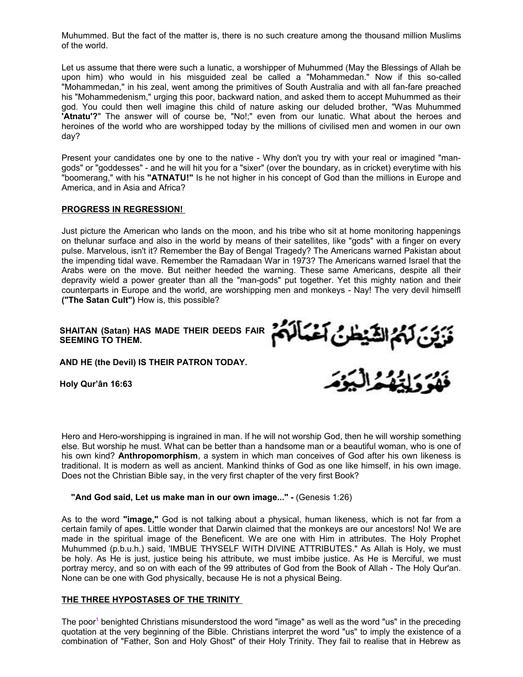Muhummed. But the fact of the matter is, there is no such creature among the thousand million Muslims of the world.

Let us assume that there were such a lunatic, a worshipper of Muhummed (May the Blessings of Allah be upon him) who would in his misguided zeal be called a "Mohammedan." Now if this so-called "Mohammedan," in his zeal, went among the primitives of South Australia and with all fan-fare preached his "Mohammedenism," urging this poor, backward nation, and asked them to accept Muhummed as their god. You could then well imagine this child of nature asking our deluded brother, "Was Muhummed **'Atnatu'?**" The answer will of course be, "No!;" even from our lunatic. What about the heroes and heroines of the world who are worshipped today by the millions of civilised men and women in our own day?

Present your candidates one by one to the native - Why don't you try with your real or imagined "mangods" or "goddesses" - and he will hit you for a "sixer" (over the boundary, as in cricket) everytime with his "boomerang," with his **"ATNATU!"** Is he not higher in his concept of God than the millions in Europe and America, and in Asia and Africa?

#### **PROGRESS IN REGRESSION!**

Just picture the American who lands on the moon, and his tribe who sit at home monitoring happenings on thelunar surface and also in the world by means of their satellites, like "gods" with a finger on every pulse. Marvelous, isn't it? Remember the Bay of Bengal Tragedy? The Americans warned Pakistan about the impending tidal wave. Remember the Ramadaan War in 1973? The Americans warned Israel that the Arabs were on the move. But neither heeded the warning. These same Americans, despite all their depravity wield a power greater than all the "man-gods" put together. Yet this mighty nation and their counterparts in Europe and the world, are worshipping men and monkeys - Nay! The very devil himselfl **("The Satan Cult")** How is, this possible?

# **SHAITAN (Satan) HAS MADE THEIR DEEDS FAIR SEEMING TO THEM.**

**AND HE (the Devil) IS THEIR PATRON TODAY.**

**Holy Qur'ân 16:63**

Hero and Hero-worshipping is ingrained in man. If he will not worship God, then he will worship something else. But worship he must. What can be better than a handsome man or a beautiful woman, who is one of his own kind? **Anthropomorphism**, a system in which man conceives of God after his own likeness is traditional. It is modern as well as ancient. Mankind thinks of God as one like himself, in his own image. Does not the Christian Bible say, in the very first chapter of the very first Book?

#### **"And God said, Let us make man in our own image..." - (Genesis 1:26)**

As to the word **"image,"** God is not talking about a physical, human likeness, which is not far from a certain family of apes. Little wonder that Darwin claimed that the monkeys are our ancestors! No! We are made in the spiritual image of the Beneficent. We are one with Him in attributes. The Holy Prophet Muhummed (p.b.u.h.) said, 'IMBUE THYSELF WITH DIVINE ATTRIBUTES." As Allah is Holy, we must be holy. As He is just, justice being his attribute, we must imbibe justice. As He is Merciful, we must portray mercy, and so on with each of the 99 attributes of God from the Book of Allah - The Holy Qur'an. None can be one with God physically, because He is not a physical Being.

## **THE THREE HYPOSTASES OF THE TRINITY**

The poor**<sup>1</sup>** benighted Christians misunderstood the word "image" as well as the word "us" in the preceding quotation at the very beginning of the Bible. Christians interpret the word "us" to imply the existence of a combination of "Father, Son and Holy Ghost" of their Holy Trinity. They fail to realise that in Hebrew as

فَزَيْنَ لَهُمُ الشَّيْطُنُ لَعْمَالَهُمْ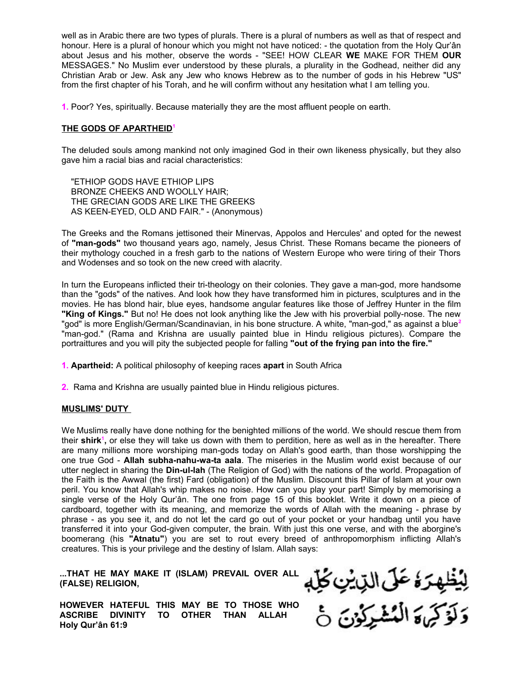well as in Arabic there are two types of plurals. There is a plural of numbers as well as that of respect and honour. Here is a plural of honour which you might not have noticed: - the quotation from the Holy Qur'ân about Jesus and his mother, observe the words - "SEE! HOW CLEAR **WE** MAKE FOR THEM **OUR** MESSAGES." No Muslim ever understood by these plurals, a plurality in the Godhead, neither did any Christian Arab or Jew. Ask any Jew who knows Hebrew as to the number of gods in his Hebrew "US" from the first chapter of his Torah, and he will confirm without any hesitation what I am telling you.

**1.** Poor? Yes, spiritually. Because materially they are the most affluent people on earth.

## **THE GODS OF APARTHEID 1**

The deluded souls among mankind not only imagined God in their own likeness physically, but they also gave him a racial bias and racial characteristics:

 "ETHIOP GODS HAVE ETHIOP LIPS BRONZE CHEEKS AND WOOLLY HAIR; THE GRECIAN GODS ARE LIKE THE GREEKS AS KEEN-EYED, OLD AND FAIR." - (Anonymous)

The Greeks and the Romans jettisoned their Minervas, Appolos and Hercules' and opted for the newest of **"man-gods"** two thousand years ago, namely, Jesus Christ. These Romans became the pioneers of their mythology couched in a fresh garb to the nations of Western Europe who were tiring of their Thors and Wodenses and so took on the new creed with alacrity.

In turn the Europeans inflicted their tri-theology on their colonies. They gave a man-god, more handsome than the "gods" of the natives. And look how they have transformed him in pictures, sculptures and in the movies. He has blond hair, blue eyes, handsome angular features like those of Jeffrey Hunter in the film **"King of Kings."** But no! He does not look anything like the Jew with his proverbial polly-nose. The new "god" is more English/German/Scandinavian, in his bone structure. A white, "man-god," as against a blue**<sup>2</sup>** "man-god." (Rama and Krishna are usually painted blue in Hindu religious pictures). Compare the portraittures and you will pity the subjected people for falling **"out of the frying pan into the fire."**

**1. Apartheid:** A political philosophy of keeping races **apart** in South Africa

**2.** Rama and Krishna are usually painted blue in Hindu religious pictures.

## **MUSLIMS' DUTY**

We Muslims really have done nothing for the benighted millions of the world. We should rescue them from their shirk<sup>1</sup>, or else they will take us down with them to perdition, here as well as in the hereafter. There are many millions more worshiping man-gods today on Allah's good earth, than those worshipping the one true God - **Allah subha-nahu-wa-ta aala**. The miseries in the Muslim world exist because of our utter neglect in sharing the **Din-ul-lah** (The Religion of God) with the nations of the world. Propagation of the Faith is the Awwal (the first) Fard (obligation) of the Muslim. Discount this Pillar of Islam at your own peril. You know that Allah's whip makes no noise. How can you play your part! Simply by memorising a single verse of the Holy Qur'ân. The one from page 15 of this booklet. Write it down on a piece of cardboard, together with its meaning, and memorize the words of Allah with the meaning - phrase by phrase - as you see it, and do not let the card go out of your pocket or your handbag until you have transferred it into your God-given computer, the brain. With just this one verse, and with the aborgine's boomerang (his **"Atnatu"**) you are set to rout every breed of anthropomorphism inflicting Allah's creatures. This is your privilege and the destiny of Islam. Allah says:

**...THAT HE MAY MAKE IT (ISLAM) PREVAIL OVER ALL (FALSE) RELIGION,**

**HOWEVER HATEFUL THIS MAY BE TO THOSE WHO ASCRIBE DIVINITY TO OTHER THAN ALLAH Holy Qur'ân 61:9**

لِيُظْهِرَهُ عَلَى الدِّيْنِ كُلِّهٖ<br>وَلَوْكَرِيهَ الْمُشْيِرَيْنَ حَ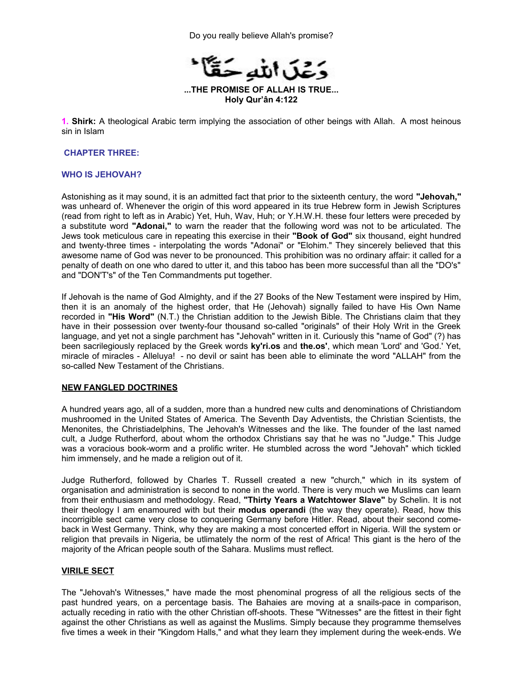

**1. Shirk:** A theological Arabic term implying the association of other beings with Allah. A most heinous sin in Islam

## **CHAPTER THREE:**

## **WHO IS JEHOVAH?**

Astonishing as it may sound, it is an admitted fact that prior to the sixteenth century, the word **"Jehovah,"** was unheard of. Whenever the origin of this word appeared in its true Hebrew form in Jewish Scriptures (read from right to left as in Arabic) Yet, Huh, Wav, Huh; or Y.H.W.H. these four letters were preceded by a substitute word **"Adonai,"** to warn the reader that the following word was not to be articulated. The Jews took meticulous care in repeating this exercise in their **"Book of God"** six thousand, eight hundred and twenty-three times - interpolating the words "Adonai" or "Elohim." They sincerely believed that this awesome name of God was never to be pronounced. This prohibition was no ordinary affair: it called for a penalty of death on one who dared to utter it, and this taboo has been more successful than all the "DO's" and "DON'T's" of the Ten Commandments put together.

If Jehovah is the name of God Almighty, and if the 27 Books of the New Testament were inspired by Him, then it is an anomaly of the highest order, that He (Jehovah) signally failed to have His Own Name recorded in **"His Word"** (N.T.) the Christian addition to the Jewish Bible. The Christians claim that they have in their possession over twenty-four thousand so-called "originals" of their Holy Writ in the Greek language, and yet not a single parchment has "Jehovah" written in it. Curiously this "name of God" (?) has been sacrilegiously replaced by the Greek words **ky'ri.os** and **the.os'**, which mean 'Lord' and 'God.' Yet, miracle of miracles - Alleluya! - no devil or saint has been able to eliminate the word "ALLAH" from the so-called New Testament of the Christians.

## **NEW FANGLED DOCTRINES**

A hundred years ago, all of a sudden, more than a hundred new cults and denominations of Christiandom mushroomed in the United States of America. The Seventh Day Adventists, the Christian Scientists, the Menonites, the Christiadelphins, The Jehovah's Witnesses and the like. The founder of the last named cult, a Judge Rutherford, about whom the orthodox Christians say that he was no "Judge." This Judge was a voracious book-worm and a prolific writer. He stumbled across the word "Jehovah" which tickled him immensely, and he made a religion out of it.

Judge Rutherford, followed by Charles T. Russell created a new "church," which in its system of organisation and administration is second to none in the world. There is very much we Muslims can learn from their enthusiasm and methodology. Read, **"Thirty Years a Watchtower Slave"** by Schelin. It is not their theology I am enamoured with but their **modus operandi** (the way they operate). Read, how this incorrigible sect came very close to conquering Germany before Hitler. Read, about their second comeback in West Germany. Think, why they are making a most concerted effort in Nigeria. Will the system or religion that prevails in Nigeria, be utlimately the norm of the rest of Africa! This giant is the hero of the majority of the African people south of the Sahara. Muslims must reflect.

## **VIRILE SECT**

The "Jehovah's Witnesses," have made the most phenominal progress of all the religious sects of the past hundred years, on a percentage basis. The Bahaies are moving at a snails-pace in comparison, actually receding in ratio with the other Christian off-shoots. These "Witnesses" are the fittest in their fight against the other Christians as well as against the Muslims. Simply because they programme themselves five times a week in their "Kingdom Halls," and what they learn they implement during the week-ends. We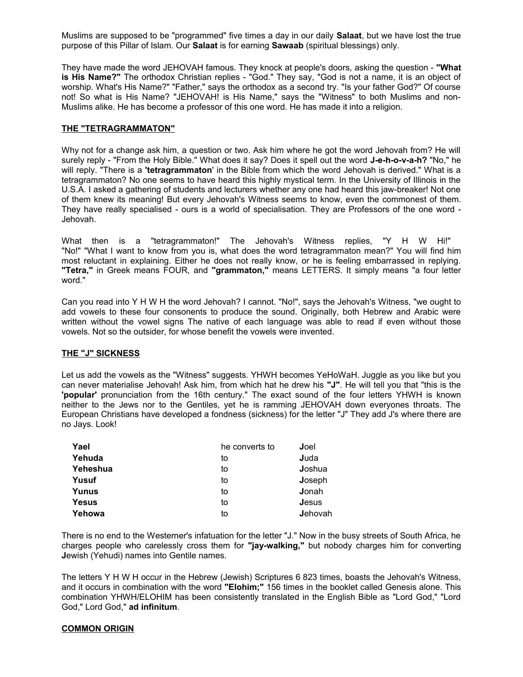Muslims are supposed to be "programmed" five times a day in our daily **Salaat**, but we have lost the true purpose of this Pillar of Islam. Our **Salaat** is for earning **Sawaab** (spiritual blessings) only.

They have made the word JEHOVAH famous. They knock at people's doors, asking the question - **"What is His Name?"** The orthodox Christian replies - "God." They say, "God is not a name, it is an object of worship. What's His Name?" "Father," says the orthodox as a second try. "Is your father God?" Of course not! So what is His Name? "JEHOVAH! is His Name," says the "Witness" to both Muslims and non-Muslims alike. He has become a professor of this one word. He has made it into a religion.

#### **THE "TETRAGRAMMATON"**

Why not for a change ask him, a question or two. Ask him where he got the word Jehovah from? He will surely reply - "From the Holy Bible." What does it say? Does it spell out the word **J-e-h-o-v-a-h?** "No," he will reply. "There is a **'tetragrammaton**' in the Bible from which the word Jehovah is derived." What is a tetragrammaton? No one seems to have heard this highly mystical term. In the University of Illinois in the U.S.A. I asked a gathering of students and lecturers whether any one had heard this jaw-breaker! Not one of them knew its meaning! But every Jehovah's Witness seems to know, even the commonest of them. They have really specialised - ours is a world of specialisation. They are Professors of the one word - Jehovah.

What then is a "tetragrammaton!" The Jehovah's Witness replies, "Y H W Hi!" "No!" "What I want to know from you is, what does the word tetragrammaton mean?" You will find him most reluctant in explaining. Either he does not really know, or he is feeling embarrassed in replying. **"Tetra,"** in Greek means FOUR, and **"grammaton,"** means LETTERS. It simply means "a four letter word."

Can you read into Y H W H the word Jehovah? I cannot. "No!", says the Jehovah's Witness, "we ought to add vowels to these four consonents to produce the sound. Originally, both Hebrew and Arabic were written without the vowel signs The native of each language was able to read if even without those vowels. Not so the outsider, for whose benefit the vowels were invented.

## **THE "J" SICKNESS**

Let us add the vowels as the "Witness" suggests. YHWH becomes YeHoWaH. Juggle as you like but you can never materialise Jehovah! Ask him, from which hat he drew his **"J"**. He will tell you that "this is the **'popular'** pronunciation from the 16th century." The exact sound of the four letters YHWH is known neither to the Jews nor to the Gentiles, yet he is ramming JEHOVAH down everyones throats. The European Christians have developed a fondness (sickness) for the letter "J" They add J's where there are no Jays. Look!

| Yael         | he converts to | Joel          |
|--------------|----------------|---------------|
| Yehuda       | to             | Juda          |
| Yeheshua     | to             | Joshua        |
| Yusuf        | to             | Joseph        |
| Yunus        | to             | Jonah         |
| <b>Yesus</b> | to             | <b>J</b> esus |
| Yehowa       | to             | Jehovah       |

There is no end to the Westerner's infatuation for the letter "J." Now in the busy streets of South Africa, he charges people who carelessly cross them for **"jay-walking,"** but nobody charges him for converting **J**ewish (Yehudi) names into Gentile names.

The letters Y H W H occur in the Hebrew (Jewish) Scriptures 6 823 times, boasts the Jehovah's Witness, and it occurs in combination with the word **"Elohim;"** 156 times in the booklet called Genesis alone. This combination YHWH/ELOHIM has been consistently translated in the English Bible as "Lord God," "Lord God," Lord God," **ad infinitum**.

## **COMMON ORIGIN**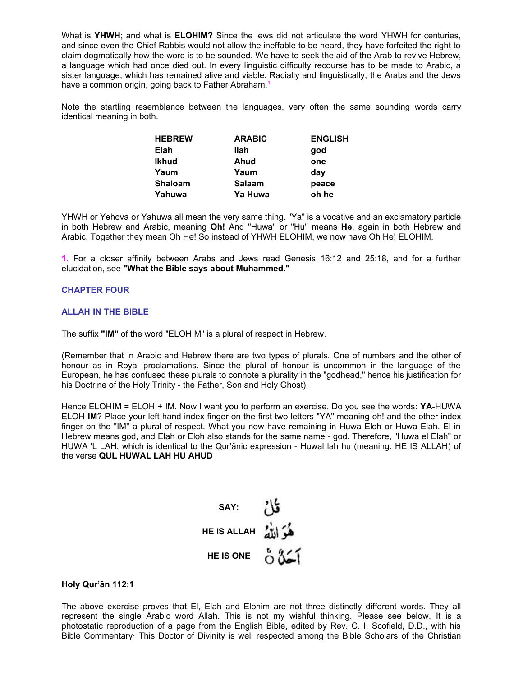What is **YHWH**; and what is **ELOHIM?** Since the lews did not articulate the word YHWH for centuries, and since even the Chief Rabbis would not allow the ineffable to be heard, they have forfeited the right to claim dogmatically how the word is to be sounded. We have to seek the aid of the Arab to revive Hebrew, a language which had once died out. In every linguistic difficulty recourse has to be made to Arabic, a sister language, which has remained alive and viable. Racially and linguistically, the Arabs and the Jews have a common origin, going back to Father Abraham.**<sup>1</sup>**

Note the startling resemblance between the languages, very often the same sounding words carry identical meaning in both.

| <b>HEBREW</b>  | <b>ARABIC</b> | <b>ENGLISH</b> |
|----------------|---------------|----------------|
| Elah           | <b>Ilah</b>   | god            |
| <b>Ikhud</b>   | Ahud          | one            |
| Yaum           | Yaum          | day            |
| <b>Shaloam</b> | <b>Salaam</b> | peace          |
| Yahuwa         | Ya Huwa       | oh he          |

YHWH or Yehova or Yahuwa all mean the very same thing. "Ya" is a vocative and an exclamatory particle in both Hebrew and Arabic, meaning **Oh!** And "Huwa" or "Hu" means **He**, again in both Hebrew and Arabic. Together they mean Oh He! So instead of YHWH ELOHIM, we now have Oh He! ELOHIM.

**1.** For a closer affinity between Arabs and Jews read Genesis 16:12 and 25:18, and for a further elucidation, see **"What the Bible says about Muhammed."**

## **CHAPTER FOUR**

#### **ALLAH IN THE BIBLE**

The suffix **"IM"** of the word "ELOHIM" is a plural of respect in Hebrew.

(Remember that in Arabic and Hebrew there are two types of plurals. One of numbers and the other of honour as in Royal proclamations. Since the plural of honour is uncommon in the language of the European, he has confused these plurals to connote a plurality in the "godhead," hence his justification for his Doctrine of the Holy Trinity - the Father, Son and Holy Ghost).

Hence ELOHIM = ELOH + IM. Now I want you to perform an exercise. Do you see the words: **YA**-HUWA ELOH-**IM**? Place your left hand index finger on the first two letters "YA" meaning oh! and the other index finger on the "IM" a plural of respect. What you now have remaining in Huwa Eloh or Huwa Elah. El in Hebrew means god, and Elah or Eloh also stands for the same name - god. Therefore, "Huwa el Elah" or HUWA 'L LAH, which is identical to the Qur'ânic expression - Huwal lah hu (meaning: HE IS ALLAH) of the verse **QUL HUWAL LAH HU AHUD**



#### **Holy Qur'ân 112:1**

The above exercise proves that El, Elah and Elohim are not three distinctly different words. They all represent the single Arabic word Allah. This is not my wishful thinking. Please see below. It is a photostatic reproduction of a page from the English Bible, edited by Rev. C. I. Scofield, D.D., with his Bible Commentary· This Doctor of Divinity is well respected among the Bible Scholars of the Christian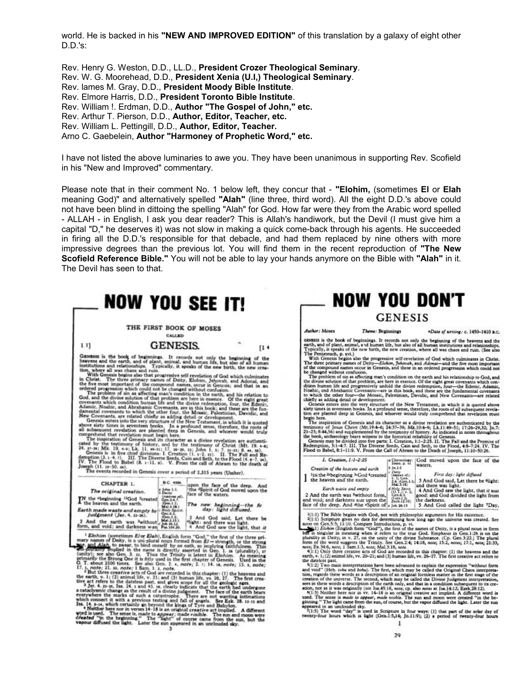world. He is backed in his **"NEW AND IMPROVED EDITION"** of this translation by a galaxy of eight other D.D.'s:

Rev. Henry G. Weston, D.D., LL.D., **President Crozer Theological Seminary**. Rev. W. G. Moorehead, D.D., **President Xenia (U.I,) Theological Seminary**. Rev. lames M. Gray, D.D., **President Moody Bible Institute**. Rev. Elmore Harris, D.D., **President Toronto Bible Institute**. Rev. William !. Erdman, D.D., **Author "The Gospel of John," etc.** Rev. Arthur T. Pierson, D.D., **Author, Editor, Teacher, etc.** Rev. William L. Pettingill, D.D., **Author, Editor, Teacher.** Arno C. Gaebelein, **Author "Harmoney of Prophetic Word," etc.**

I have not listed the above luminaries to awe you. They have been unanimous in supporting Rev. Scofield in his "New and Improved" commentary.

Please note that in their comment No. 1 below left, they concur that - **"Elohim,** (sometimes **El** or **Elah** meaning God)" and alternatively spelled **"Alah"** (line three, third word). All the eight D.D.'s above could not have been blind in dittoing the spelling "Alah" for God. How far were they from the Arabic word spelled - ALLAH - in English, I ask you dear reader? This is Allah's handiwork, but the Devil (I must give him a capital "D," he deserves it) was not slow in making a quick come-back through his agents. He succeeded in firing all the D.D.'s responsible for that debacle, and had them replaced by nine others with more impressive degrees than the previous lot. You will find them in the recent reproduction of **"The New Scofield Reference Bible."** You will not be able to lay your hands anymore on the Bible with **"Alah"** in it. The Devil has seen to that.

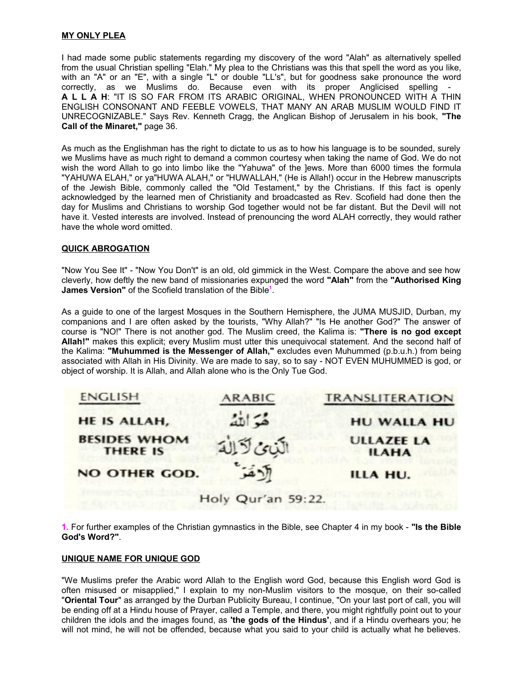## **MY ONLY PLEA**

I had made some public statements regarding my discovery of the word "Alah" as alternatively spelled from the usual Christian spelling "Elah." My plea to the Christians was this that spell the word as you like, with an "A" or an "E", with a single "L" or double "LL's", but for goodness sake pronounce the word correctly, as we Muslims do. Because even with its proper Anglicised spelling - **A L L A H**: "IT IS SO FAR FROM ITS ARABIC ORIGINAL, WHEN PRONOUNCED WITH A THIN ENGLISH CONSONANT AND FEEBLE VOWELS, THAT MANY AN ARAB MUSLIM WOULD FIND IT UNRECOGNIZABLE." Says Rev. Kenneth Cragg, the Anglican Bishop of Jerusalem in his book, **"The Call of the Minaret,"** page 36.

As much as the Englishman has the right to dictate to us as to how his language is to be sounded, surely we Muslims have as much right to demand a common courtesy when taking the name of God. We do not wish the word Allah to go into limbo like the "Yahuwa" of the ]ews. More than 6000 times the formula "YAHUWA ELAH," or ya"HUWA ALAH," or "HUWALLAH," (He is Allah!) occur in the Hebrew manuscripts of the Jewish Bible, commonly called the "Old Testament," by the Christians. If this fact is openly acknowledged by the learned men of Christianity and broadcasted as Rev. Scofield had done then the day for Muslims and Christians to worship God together would not be far distant. But the Devil will not have it. Vested interests are involved. Instead of prenouncing the word ALAH correctly, they would rather have the whole word omitted.

# **QUICK ABROGATION**

"Now You See It" - "Now You Don't" is an old, old gimmick in the West. Compare the above and see how cleverly, how deftly the new band of missionaries expunged the word **"Alah"** from the **"Authorised King James Version"** of the Scofield translation of the Bible**<sup>1</sup>** .

As a guide to one of the largest Mosques in the Southern Hemisphere, the JUMA MUSJID, Durban, my companions and I are often asked by the tourists, "Why Allah?" "Is He another God?" The answer of course is "NO!" There is not another god. The Muslim creed, the Kalima is: **"There is no god except Allah!"** makes this explicit; every Muslim must utter this unequivocal statement. And the second half of the Kalima: **"Muhummed is the Messenger of Allah,"** excludes even Muhummed (p.b.u.h.) from being associated with Allah in His Divinity. We are made to say, so to say - NOT EVEN MUHUMMED is god, or object of worship. It is Allah, and Allah alone who is the Only Tue God.



**1.** For further examples of the Christian gymnastics in the Bible, see Chapter 4 in my book - **"Is the Bible God's Word?"**.

## **UNIQUE NAME FOR UNIQUE GOD**

"We Muslims prefer the Arabic word Allah to the English word God, because this English word God is often misused or misapplied," I explain to my non-Muslim visitors to the mosque, on their so-called "**Oriental Tour**" as arranged by the Durban Publicity Bureau, I continue, "On your last port of call, you will be ending off at a Hindu house of Prayer, called a Temple, and there, you might rightfully point out to your children the idols and the images found, as **'the gods of the Hindus'**, and if a Hindu overhears you; he will not mind, he will not be offended, because what you said to your child is actually what he believes.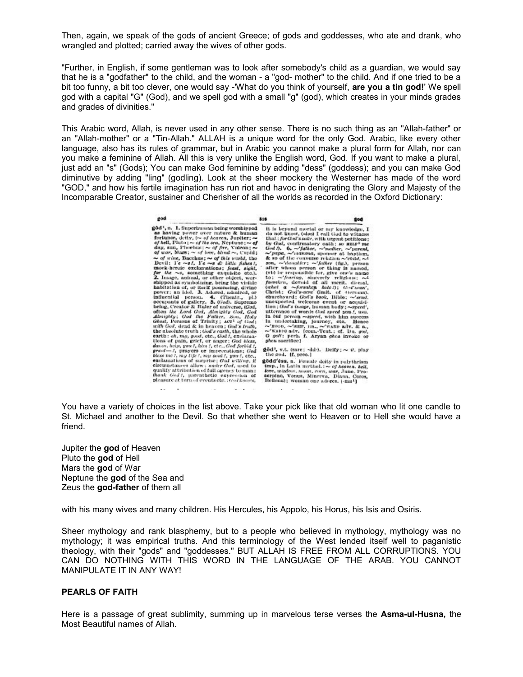Then, again, we speak of the gods of ancient Greece; of gods and goddesses, who ate and drank, who wrangled and plotted; carried away the wives of other gods.

"Further, in English, if some gentleman was to look after somebody's child as a guardian, we would say that he is a "godfather" to the child, and the woman - a "god- mother" to the child. And if one tried to be a bit too funny, a bit too clever, one would say -'What do you think of yourself, **are you a tin god!**' We spell god with a capital "G" (God), and we spell god with a small "g" (god), which creates in your minds grades and grades of divinities."

This Arabic word, Allah, is never used in any other sense. There is no such thing as an "Allah-father" or an "Allah-mother" or a "Tin-Allah." ALLAH is a unique word for the only God. Arabic, like every other language, also has its rules of grammar, but in Arabic you cannot make a plural form for Allah, nor can you make a feminine of Allah. All this is very unlike the English word, God. If you want to make a plural, just add an "s" (Gods); You can make God feminine by adding "dess" (goddess); and you can make God diminutive by adding "ling" (godling). Look at the sheer mockery the Westerner has made of the word "GOD," and how his fertile imagination has run riot and havoc in denigrating the Glory and Majesty of the Incomparable Creator, sustainer and Cherisher of all the worlds as recorded in the Oxford Dictionary:

| cod                                                                                                                                                                                                                                                                                                                                                                                                                                                                                                                                                                                                                                                                                                                                                                                                                                                                                                                                                                                                                                                                                                                                                                                                                                                                                                                                                                                                                                                                                                                      | 816<br><b>2od</b>                                                                                                                                                                                                                                                                                                                                                                                                                                                                                                                                                                                                                                                                                                                                                                                                                                                                                                                                                                                                                                                                                                                                                                                                                                                                                                                                                                                                                              |
|--------------------------------------------------------------------------------------------------------------------------------------------------------------------------------------------------------------------------------------------------------------------------------------------------------------------------------------------------------------------------------------------------------------------------------------------------------------------------------------------------------------------------------------------------------------------------------------------------------------------------------------------------------------------------------------------------------------------------------------------------------------------------------------------------------------------------------------------------------------------------------------------------------------------------------------------------------------------------------------------------------------------------------------------------------------------------------------------------------------------------------------------------------------------------------------------------------------------------------------------------------------------------------------------------------------------------------------------------------------------------------------------------------------------------------------------------------------------------------------------------------------------------|------------------------------------------------------------------------------------------------------------------------------------------------------------------------------------------------------------------------------------------------------------------------------------------------------------------------------------------------------------------------------------------------------------------------------------------------------------------------------------------------------------------------------------------------------------------------------------------------------------------------------------------------------------------------------------------------------------------------------------------------------------------------------------------------------------------------------------------------------------------------------------------------------------------------------------------------------------------------------------------------------------------------------------------------------------------------------------------------------------------------------------------------------------------------------------------------------------------------------------------------------------------------------------------------------------------------------------------------------------------------------------------------------------------------------------------------|
| göd <sup>3</sup> , n. 1. Superhuman being worshipped<br>as having power over nature & human<br>fortunes, deity, (~ of heaven, Jupiter; ~<br>of hell, Pluto; ~ of the sea. Neptune; ~ of<br>day, sun, Phoebus; $\sim$ of frr, Vulcan; $\sim$<br>of war, Mars; $\sim$ of love, blind $\sim$ , Cupid;<br>$\sim$ of wine, Bacchus; $\sim$ of this world, the<br>Devil: I'e ~21, I'e ~2 d' little fishes !.<br>mock-heroic exclamations; feast, sight,<br>for the ~s, something exquisite etc.).<br>2. Insage, animal, or other object, wor-<br>shipped as symbolizing, being the visible<br>habitation of, or itself possessing, divine<br>power; an idol. 3. Adored, admired, or<br>influential person. 4. (Theatr., pl.)<br>occupants of gallery. 5. Wod). Supremo-<br>being, Creator & Ruler of universe, (God,<br>often the Lord God, Almighty God, God<br>Almighty; God the Father, Son, Holy<br>Ghost, Persons of Trinity; ACT <sup>1</sup> of thed;<br>with God, dead & in heaven; God's truth,<br>the absolute truth : God's carth, the whole<br>earth : oh, ma, good, etc., God !, exclama-<br>tions of pain, gricf, or anger; God bless,<br>damn, help, you I, him !, etc., God forbid !,<br>grant-', prayers or imprecutions; God<br>bless me !, my life !, my soul !, you !, etc.,<br>exclamations of surprise; God willing, if<br>circumstances allow; under God, used to<br>qualify attribution of full agency to man:<br>thank God?, parenthetic expression of<br>pleasure at turn of events etc.; God knows, | it is beyond mortal or my knowledge, I<br>do not know, (also) I call God to witness<br>that : for God's suke, with urgent petitions ;<br>by God, confirmatory oath; so HELP1 me<br>God !). $6. \sim$ 'father, $\sim$ 'mother, $\sim$ 'narent.<br>$\sim$ papa, $\sim$ maxima, sponsor at baptism,<br>& so of the converse relation ~'child, ~!<br>son, ~'daughter: ~'falber (the.), person<br>after whom person or thing is numed.<br>(vb) be responsible for, give one's name<br>to: ~'fearing, sincerely religious; ~4<br>forwaken, devoid of all merit, dismal,<br>$t$ what a $\sim$ forsaken hote $D$ : $t$ ied'man'.<br>Christ; God's-acre (imit, of German).<br>churchyard; God's book, Bible; ~'send.<br>unexpected welcome event or acquisi-<br>tion; God's isoage, human body; ~speed',<br>utterance of words God spred you !, usu.<br>in bid person espeed, wish him success<br>in undertaking, journey, etc. Hence<br>$\sim$ 'BUOD, $\sim$ 'SHIP, 100., $\sim$ 'WARD adv. & a.,<br>~'WARDS adv. [com. Tent.; cf. Dn. god.<br>G golf: perh. f. Aryan ghes invoke or<br>gheu sacrifice]<br>$\mathfrak{E}\bar{\mathfrak{0}}\mathfrak{d}^1$ , v.t. (rate: -dd-). Deify: $\sim$ il. play<br>the god. [f. prec.]<br>gödd'ess, n. Female deity in polytheism<br>(esp., in Latin mythol.: ~ of heaven. hell.<br>love, wisdom, monit, carn, sonr, Juno, Pro-<br>aerydne, Venus, Minerva, Diana, Ceres,<br>Bellona); woman one adores. [-2881] |

You have a variety of choices in the list above. Take your pick like that old woman who lit one candle to St. Michael and another to the Devil. So that whether she went to Heaven or to Hell she would have a friend.

Jupiter the **god** of Heaven Pluto the **god** of Hell Mars the **god** of War Neptune the **god** of the Sea and Zeus the **god-father** of them all

with his many wives and many children. His Hercules, his Appolo, his Horus, his Isis and Osiris.

Sheer mythology and rank blasphemy, but to a people who believed in mythology, mythology was no mythology; it was empirical truths. And this terminology of the West lended itself well to paganistic theology, with their "gods" and "goddesses." BUT ALLAH IS FREE FROM ALL CORRUPTIONS. YOU CAN DO NOTHING WITH THIS WORD IN THE LANGUAGE OF THE ARAB. YOU CANNOT MANIPULATE IT IN ANY WAY!

#### **PEARLS OF FAITH**

Here is a passage of great sublimity, summing up in marvelous terse verses the **Asma-ul-Husna,** the Most Beautiful names of Allah.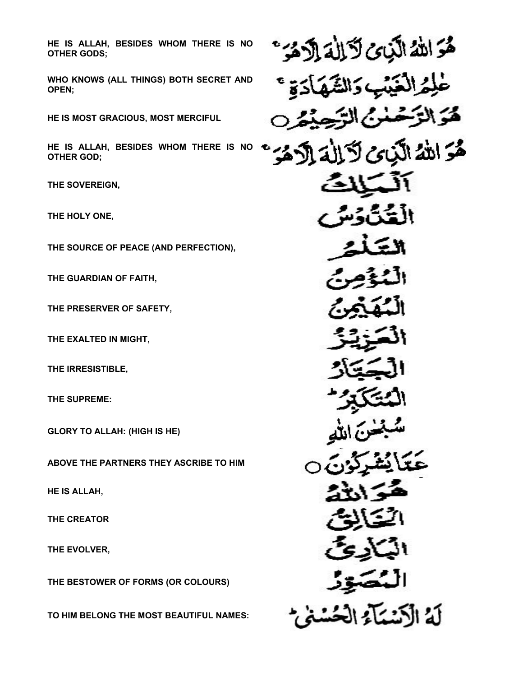هُوَ اللهُ الَّذِينَ لَأَوَالَ الْأَهُوَ \* **HE IS ALLAH, BESIDES WHOM THERE IS NO OTHER GODS; WHO KNOWS (ALL THINGS) BOTH SECRET AND** لحرالغيب والشكم **OPEN;** فئوالتزخينر فرالتهجدي **HE IS MOST GRACIOUS, MOST MERCIFUL HE IS ALLAH, BESIDES WHOM THERE IS NO OTHER GOD; THE SOVEREIGN,** 23031 **THE HOLY ONE, THE SOURCE OF PEACE (AND PERFECTION), THE GUARDIAN OF FAITH, THE PRESERVER OF SAFETY, THE EXALTED IN MIGHT, THE IRRESISTIBLE, THE SUPREME: GLORY TO ALLAH: (HIGH IS HE) ABOVE THE PARTNERS THEY ASCRIBE TO HIM HE IS ALLAH, THE CREATOR THE EVOLVER, THE BESTOWER OF FORMS (OR COLOURS)** لَهُ الْكَسْبَاءُ الْخُسْ **TO HIM BELONG THE MOST BEAUTIFUL NAMES:**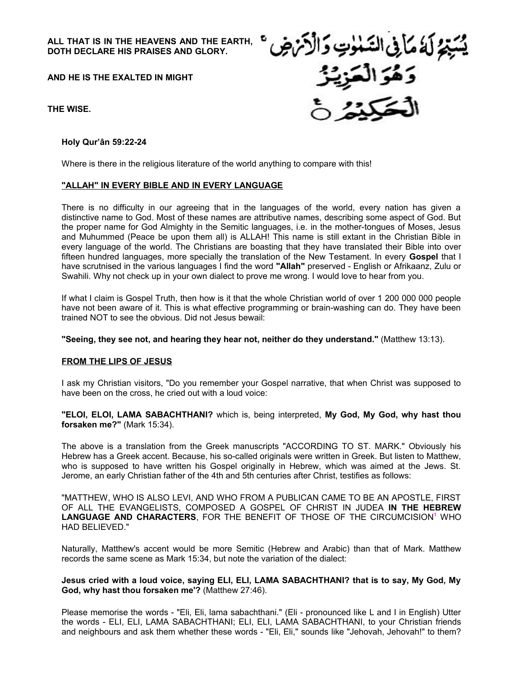**ALL THAT IS IN THE HEAVENS AND THE EARTH, DOTH DECLARE HIS PRAISES AND GLORY.**

**AND HE IS THE EXALTED IN MIGHT**



**THE WISE.**

#### **Holy Qur'ân 59:22-24**

Where is there in the religious literature of the world anything to compare with this!

#### **"ALLAH" IN EVERY BIBLE AND IN EVERY LANGUAGE**

There is no difficulty in our agreeing that in the languages of the world, every nation has given a distinctive name to God. Most of these names are attributive names, describing some aspect of God. But the proper name for God Almighty in the Semitic languages, i.e. in the mother-tongues of Moses, Jesus and Muhummed (Peace be upon them all) is ALLAH! This name is still extant in the Christian Bible in every language of the world. The Christians are boasting that they have translated their Bible into over fifteen hundred languages, more specially the translation of the New Testament. In every **Gospel** that I have scrutnised in the various languages I find the word **"Allah"** preserved - English or Afrikaanz, Zulu or Swahili. Why not check up in your own dialect to prove me wrong. I would love to hear from you.

If what I claim is Gospel Truth, then how is it that the whole Christian world of over 1 200 000 000 people have not been aware of it. This is what effective programming or brain-washing can do. They have been trained NOT to see the obvious. Did not Jesus bewail:

#### **"Seeing, they see not, and hearing they hear not, neither do they understand."** (Matthew 13:13).

#### **FROM THE LIPS OF JESUS**

I ask my Christian visitors, "Do you remember your Gospel narrative, that when Christ was supposed to have been on the cross, he cried out with a loud voice:

**"ELOI, ELOI, LAMA SABACHTHANI?** which is, being interpreted, **My God, My God, why hast thou forsaken me?"** (Mark 15:34).

The above is a translation from the Greek manuscripts "ACCORDING TO ST. MARK." Obviously his Hebrew has a Greek accent. Because, his so-called originals were written in Greek. But listen to Matthew, who is supposed to have written his Gospel originally in Hebrew, which was aimed at the Jews. St. Jerome, an early Christian father of the 4th and 5th centuries after Christ, testifies as follows:

"MATTHEW, WHO IS ALSO LEVI, AND WHO FROM A PUBLICAN CAME TO BE AN APOSTLE, FIRST OF ALL THE EVANGELISTS, COMPOSED A GOSPEL OF CHRIST IN JUDEA **IN THE HEBREW LANGUAGE AND CHARACTERS**, FOR THE BENEFIT OF THOSE OF THE CIRCUMCISION**<sup>1</sup>** WHO HAD BELIEVED."

Naturally, Matthew's accent would be more Semitic (Hebrew and Arabic) than that of Mark. Matthew records the same scene as Mark 15:34, but note the variation of the dialect:

#### **Jesus cried with a loud voice, saying ELI, ELI, LAMA SABACHTHANI? that is to say, My God, My God, why hast thou forsaken me'?** (Matthew 27:46).

Please memorise the words - "Eli, Eli, lama sabachthani." (Eli - pronounced like L and I in English) Utter the words - ELI, ELI, LAMA SABACHTHANI; ELI, ELI, LAMA SABACHTHANI, to your Christian friends and neighbours and ask them whether these words - "Eli, Eli," sounds like "Jehovah, Jehovah!" to them?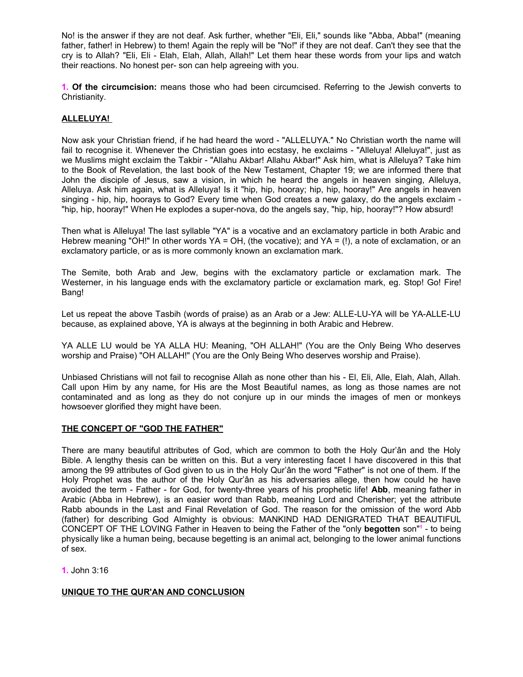No! is the answer if they are not deaf. Ask further, whether "Eli, Eli," sounds like "Abba, Abba!" (meaning father, father! in Hebrew) to them! Again the reply will be "No!" if they are not deaf. Can't they see that the cry is to Allah? "Eli, Eli - Elah, Elah, Allah, Allah!" Let them hear these words from your lips and watch their reactions. No honest per- son can help agreeing with you.

**1. Of the circumcision:** means those who had been circumcised. Referring to the Jewish converts to Christianity.

## **ALLELUYA!**

Now ask your Christian friend, if he had heard the word - "ALLELUYA." No Christian worth the name will fail to recognise it. Whenever the Christian goes into ecstasy, he exclaims - "Alleluya! Alleluya!", just as we Muslims might exclaim the Takbir - "Allahu Akbar! Allahu Akbar!" Ask him, what is Alleluya? Take him to the Book of Revelation, the last book of the New Testament, Chapter 19; we are informed there that John the disciple of Jesus, saw a vision, in which he heard the angels in heaven singing, Alleluya, Alleluya. Ask him again, what is Alleluya! Is it "hip, hip, hooray; hip, hip, hooray!" Are angels in heaven singing - hip, hip, hoorays to God? Every time when God creates a new galaxy, do the angels exclaim - "hip, hip, hooray!" When He explodes a super-nova, do the angels say, "hip, hip, hooray!"? How absurd!

Then what is Alleluya! The last syllable "YA" is a vocative and an exclamatory particle in both Arabic and Hebrew meaning "OH!" In other words YA = OH, (the vocative); and YA = (!), a note of exclamation, or an exclamatory particle, or as is more commonly known an exclamation mark.

The Semite, both Arab and Jew, begins with the exclamatory particle or exclamation mark. The Westerner, in his language ends with the exclamatory particle or exclamation mark, eg. Stop! Go! Fire! Bang!

Let us repeat the above Tasbih (words of praise) as an Arab or a Jew: ALLE-LU-YA will be YA-ALLE-LU because, as explained above, YA is always at the beginning in both Arabic and Hebrew.

YA ALLE LU would be YA ALLA HU: Meaning, "OH ALLAH!" (You are the Only Being Who deserves worship and Praise) "OH ALLAH!" (You are the Only Being Who deserves worship and Praise).

Unbiased Christians will not fail to recognise Allah as none other than his - El, Eli, Alle, Elah, Alah, Allah. Call upon Him by any name, for His are the Most Beautiful names, as long as those names are not contaminated and as long as they do not conjure up in our minds the images of men or monkeys howsoever glorified they might have been.

## **THE CONCEPT OF "GOD THE FATHER"**

There are many beautiful attributes of God, which are common to both the Holy Qur'ân and the Holy Bible. A lengthy thesis can be written on this. But a very interesting facet I have discovered in this that among the 99 attributes of God given to us in the Holy Qur'ân the word "Father" is not one of them. If the Holy Prophet was the author of the Holy Qur'ân as his adversaries allege, then how could he have avoided the term - Father - for God, for twenty-three years of his prophetic life! **Abb**, meaning father in Arabic (Abba in Hebrew), is an easier word than Rabb, meaning Lord and Cherisher; yet the attribute Rabb abounds in the Last and Final Revelation of God. The reason for the omission of the word Abb (father) for describing God Almighty is obvious: MANKIND HAD DENIGRATED THAT BEAUTIFUL CONCEPT OF THE LOVING Father in Heaven to being the Father of the "only **begotten** son" **1** - to being physically like a human being, because begetting is an animal act, belonging to the lower animal functions of sex.

**1.** John 3:16

# **UNIQUE TO THE QUR'AN AND CONCLUSION**